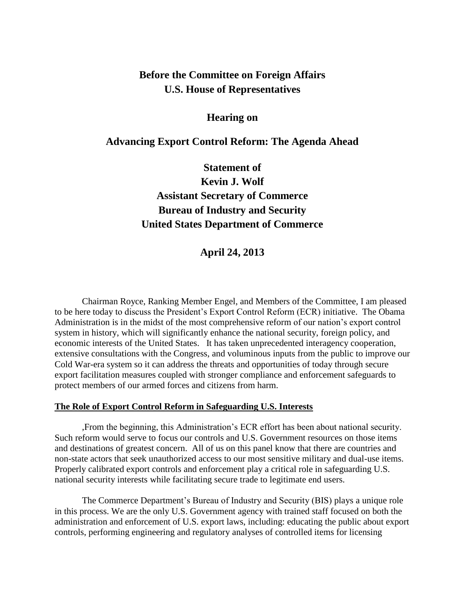## **Before the Committee on Foreign Affairs U.S. House of Representatives**

## **Hearing on**

### **Advancing Export Control Reform: The Agenda Ahead**

# **Statement of Kevin J. Wolf Assistant Secretary of Commerce Bureau of Industry and Security United States Department of Commerce**

## **April 24, 2013**

Chairman Royce, Ranking Member Engel, and Members of the Committee, I am pleased to be here today to discuss the President's Export Control Reform (ECR) initiative. The Obama Administration is in the midst of the most comprehensive reform of our nation's export control system in history, which will significantly enhance the national security, foreign policy, and economic interests of the United States. It has taken unprecedented interagency cooperation, extensive consultations with the Congress, and voluminous inputs from the public to improve our Cold War-era system so it can address the threats and opportunities of today through secure export facilitation measures coupled with stronger compliance and enforcement safeguards to protect members of our armed forces and citizens from harm.

#### **The Role of Export Control Reform in Safeguarding U.S. Interests**

,From the beginning, this Administration's ECR effort has been about national security. Such reform would serve to focus our controls and U.S. Government resources on those items and destinations of greatest concern. All of us on this panel know that there are countries and non-state actors that seek unauthorized access to our most sensitive military and dual-use items. Properly calibrated export controls and enforcement play a critical role in safeguarding U.S. national security interests while facilitating secure trade to legitimate end users.

The Commerce Department's Bureau of Industry and Security (BIS) plays a unique role in this process. We are the only U.S. Government agency with trained staff focused on both the administration and enforcement of U.S. export laws, including: educating the public about export controls, performing engineering and regulatory analyses of controlled items for licensing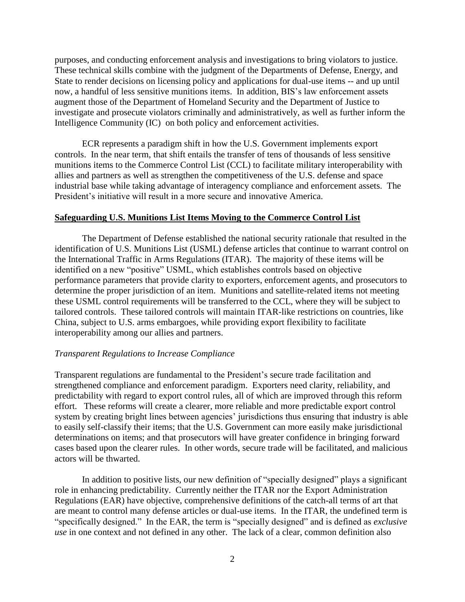purposes, and conducting enforcement analysis and investigations to bring violators to justice. These technical skills combine with the judgment of the Departments of Defense, Energy, and State to render decisions on licensing policy and applications for dual-use items -- and up until now, a handful of less sensitive munitions items. In addition, BIS's law enforcement assets augment those of the Department of Homeland Security and the Department of Justice to investigate and prosecute violators criminally and administratively, as well as further inform the Intelligence Community (IC) on both policy and enforcement activities.

ECR represents a paradigm shift in how the U.S. Government implements export controls. In the near term, that shift entails the transfer of tens of thousands of less sensitive munitions items to the Commerce Control List (CCL) to facilitate military interoperability with allies and partners as well as strengthen the competitiveness of the U.S. defense and space industrial base while taking advantage of interagency compliance and enforcement assets. The President's initiative will result in a more secure and innovative America.

#### **Safeguarding U.S. Munitions List Items Moving to the Commerce Control List**

The Department of Defense established the national security rationale that resulted in the identification of U.S. Munitions List (USML) defense articles that continue to warrant control on the International Traffic in Arms Regulations (ITAR). The majority of these items will be identified on a new "positive" USML, which establishes controls based on objective performance parameters that provide clarity to exporters, enforcement agents, and prosecutors to determine the proper jurisdiction of an item. Munitions and satellite-related items not meeting these USML control requirements will be transferred to the CCL, where they will be subject to tailored controls. These tailored controls will maintain ITAR-like restrictions on countries, like China, subject to U.S. arms embargoes, while providing export flexibility to facilitate interoperability among our allies and partners.

#### *Transparent Regulations to Increase Compliance*

Transparent regulations are fundamental to the President's secure trade facilitation and strengthened compliance and enforcement paradigm. Exporters need clarity, reliability, and predictability with regard to export control rules, all of which are improved through this reform effort. These reforms will create a clearer, more reliable and more predictable export control system by creating bright lines between agencies' jurisdictions thus ensuring that industry is able to easily self-classify their items; that the U.S. Government can more easily make jurisdictional determinations on items; and that prosecutors will have greater confidence in bringing forward cases based upon the clearer rules. In other words, secure trade will be facilitated, and malicious actors will be thwarted.

In addition to positive lists, our new definition of "specially designed" plays a significant role in enhancing predictability. Currently neither the ITAR nor the Export Administration Regulations (EAR) have objective, comprehensive definitions of the catch-all terms of art that are meant to control many defense articles or dual-use items. In the ITAR, the undefined term is "specifically designed." In the EAR, the term is "specially designed" and is defined as *exclusive use* in one context and not defined in any other. The lack of a clear, common definition also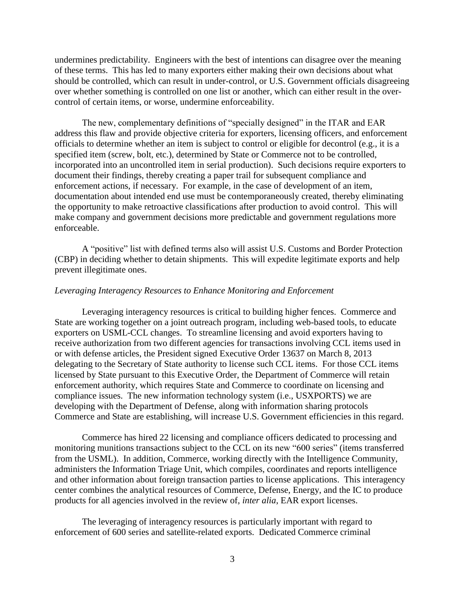undermines predictability. Engineers with the best of intentions can disagree over the meaning of these terms. This has led to many exporters either making their own decisions about what should be controlled, which can result in under-control, or U.S. Government officials disagreeing over whether something is controlled on one list or another, which can either result in the overcontrol of certain items, or worse, undermine enforceability.

The new, complementary definitions of "specially designed" in the ITAR and EAR address this flaw and provide objective criteria for exporters, licensing officers, and enforcement officials to determine whether an item is subject to control or eligible for decontrol (e.g., it is a specified item (screw, bolt, etc.), determined by State or Commerce not to be controlled, incorporated into an uncontrolled item in serial production). Such decisions require exporters to document their findings, thereby creating a paper trail for subsequent compliance and enforcement actions, if necessary. For example, in the case of development of an item, documentation about intended end use must be contemporaneously created, thereby eliminating the opportunity to make retroactive classifications after production to avoid control. This will make company and government decisions more predictable and government regulations more enforceable.

A "positive" list with defined terms also will assist U.S. Customs and Border Protection (CBP) in deciding whether to detain shipments. This will expedite legitimate exports and help prevent illegitimate ones.

#### *Leveraging Interagency Resources to Enhance Monitoring and Enforcement*

Leveraging interagency resources is critical to building higher fences. Commerce and State are working together on a joint outreach program, including web-based tools, to educate exporters on USML-CCL changes. To streamline licensing and avoid exporters having to receive authorization from two different agencies for transactions involving CCL items used in or with defense articles, the President signed Executive Order 13637 on March 8, 2013 delegating to the Secretary of State authority to license such CCL items. For those CCL items licensed by State pursuant to this Executive Order, the Department of Commerce will retain enforcement authority, which requires State and Commerce to coordinate on licensing and compliance issues. The new information technology system (i.e., USXPORTS) we are developing with the Department of Defense, along with information sharing protocols Commerce and State are establishing, will increase U.S. Government efficiencies in this regard.

Commerce has hired 22 licensing and compliance officers dedicated to processing and monitoring munitions transactions subject to the CCL on its new "600 series" (items transferred from the USML). In addition, Commerce, working directly with the Intelligence Community, administers the Information Triage Unit, which compiles, coordinates and reports intelligence and other information about foreign transaction parties to license applications. This interagency center combines the analytical resources of Commerce, Defense, Energy, and the IC to produce products for all agencies involved in the review of, *inter alia*, EAR export licenses.

The leveraging of interagency resources is particularly important with regard to enforcement of 600 series and satellite-related exports. Dedicated Commerce criminal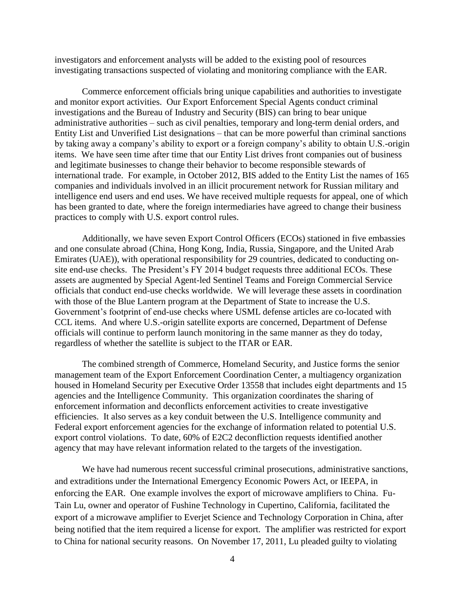investigators and enforcement analysts will be added to the existing pool of resources investigating transactions suspected of violating and monitoring compliance with the EAR.

Commerce enforcement officials bring unique capabilities and authorities to investigate and monitor export activities. Our Export Enforcement Special Agents conduct criminal investigations and the Bureau of Industry and Security (BIS) can bring to bear unique administrative authorities – such as civil penalties, temporary and long-term denial orders, and Entity List and Unverified List designations – that can be more powerful than criminal sanctions by taking away a company's ability to export or a foreign company's ability to obtain U.S.-origin items. We have seen time after time that our Entity List drives front companies out of business and legitimate businesses to change their behavior to become responsible stewards of international trade. For example, in October 2012, BIS added to the Entity List the names of 165 companies and individuals involved in an illicit procurement network for Russian military and intelligence end users and end uses. We have received multiple requests for appeal, one of which has been granted to date, where the foreign intermediaries have agreed to change their business practices to comply with U.S. export control rules.

Additionally, we have seven Export Control Officers (ECOs) stationed in five embassies and one consulate abroad (China, Hong Kong, India, Russia, Singapore, and the United Arab Emirates (UAE)), with operational responsibility for 29 countries, dedicated to conducting onsite end-use checks. The President's FY 2014 budget requests three additional ECOs. These assets are augmented by Special Agent-led Sentinel Teams and Foreign Commercial Service officials that conduct end-use checks worldwide. We will leverage these assets in coordination with those of the Blue Lantern program at the Department of State to increase the U.S. Government's footprint of end-use checks where USML defense articles are co-located with CCL items. And where U.S.-origin satellite exports are concerned, Department of Defense officials will continue to perform launch monitoring in the same manner as they do today, regardless of whether the satellite is subject to the ITAR or EAR.

The combined strength of Commerce, Homeland Security, and Justice forms the senior management team of the Export Enforcement Coordination Center, a multiagency organization housed in Homeland Security per Executive Order 13558 that includes eight departments and 15 agencies and the Intelligence Community. This organization coordinates the sharing of enforcement information and deconflicts enforcement activities to create investigative efficiencies. It also serves as a key conduit between the U.S. Intelligence community and Federal export enforcement agencies for the exchange of information related to potential U.S. export control violations. To date, 60% of E2C2 deconfliction requests identified another agency that may have relevant information related to the targets of the investigation.

We have had numerous recent successful criminal prosecutions, administrative sanctions, and extraditions under the International Emergency Economic Powers Act, or IEEPA, in enforcing the EAR. One example involves the export of microwave amplifiers to China. Fu-Tain Lu, owner and operator of Fushine Technology in Cupertino, California, facilitated the export of a microwave amplifier to Everjet Science and Technology Corporation in China, after being notified that the item required a license for export. The amplifier was restricted for export to China for national security reasons. On November 17, 2011, Lu pleaded guilty to violating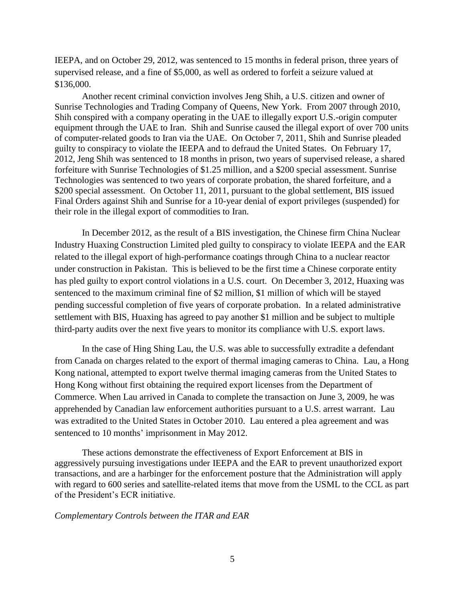IEEPA, and on October 29, 2012, was sentenced to 15 months in federal prison, three years of supervised release, and a fine of \$5,000, as well as ordered to forfeit a seizure valued at \$136,000.

Another recent criminal conviction involves Jeng Shih, a U.S. citizen and owner of Sunrise Technologies and Trading Company of Queens, New York. From 2007 through 2010, Shih conspired with a company operating in the UAE to illegally export U.S.-origin computer equipment through the UAE to Iran. Shih and Sunrise caused the illegal export of over 700 units of computer-related goods to Iran via the UAE. On October 7, 2011, Shih and Sunrise pleaded guilty to conspiracy to violate the IEEPA and to defraud the United States. On February 17, 2012, Jeng Shih was sentenced to 18 months in prison, two years of supervised release, a shared forfeiture with Sunrise Technologies of \$1.25 million, and a \$200 special assessment. Sunrise Technologies was sentenced to two years of corporate probation, the shared forfeiture, and a \$200 special assessment. On October 11, 2011, pursuant to the global settlement, BIS issued Final Orders against Shih and Sunrise for a 10-year denial of export privileges (suspended) for their role in the illegal export of commodities to Iran.

In December 2012, as the result of a BIS investigation, the Chinese firm China Nuclear Industry Huaxing Construction Limited pled guilty to conspiracy to violate IEEPA and the EAR related to the illegal export of high-performance coatings through China to a nuclear reactor under construction in Pakistan. This is believed to be the first time a Chinese corporate entity has pled guilty to export control violations in a U.S. court. On December 3, 2012, Huaxing was sentenced to the maximum criminal fine of \$2 million, \$1 million of which will be stayed pending successful completion of five years of corporate probation. In a related administrative settlement with BIS, Huaxing has agreed to pay another \$1 million and be subject to multiple third-party audits over the next five years to monitor its compliance with U.S. export laws.

In the case of Hing Shing Lau, the U.S. was able to successfully extradite a defendant from Canada on charges related to the export of thermal imaging cameras to China. Lau, a Hong Kong national, attempted to export twelve thermal imaging cameras from the United States to Hong Kong without first obtaining the required export licenses from the Department of Commerce. When Lau arrived in Canada to complete the transaction on June 3, 2009, he was apprehended by Canadian law enforcement authorities pursuant to a U.S. arrest warrant. Lau was extradited to the United States in October 2010. Lau entered a plea agreement and was sentenced to 10 months' imprisonment in May 2012.

These actions demonstrate the effectiveness of Export Enforcement at BIS in aggressively pursuing investigations under IEEPA and the EAR to prevent unauthorized export transactions, and are a harbinger for the enforcement posture that the Administration will apply with regard to 600 series and satellite-related items that move from the USML to the CCL as part of the President's ECR initiative.

#### *Complementary Controls between the ITAR and EAR*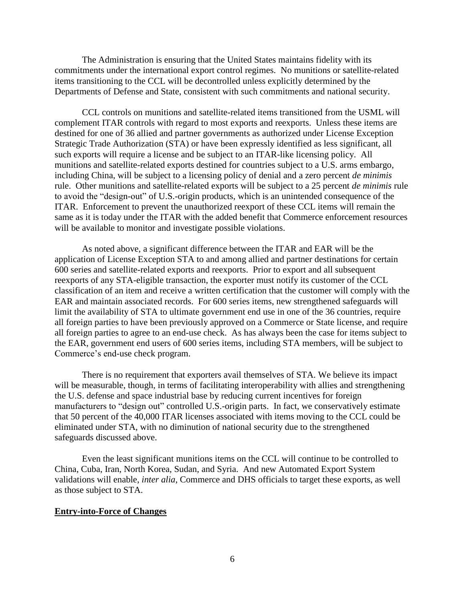The Administration is ensuring that the United States maintains fidelity with its commitments under the international export control regimes. No munitions or satellite-related items transitioning to the CCL will be decontrolled unless explicitly determined by the Departments of Defense and State, consistent with such commitments and national security.

CCL controls on munitions and satellite-related items transitioned from the USML will complement ITAR controls with regard to most exports and reexports. Unless these items are destined for one of 36 allied and partner governments as authorized under License Exception Strategic Trade Authorization (STA) or have been expressly identified as less significant, all such exports will require a license and be subject to an ITAR-like licensing policy. All munitions and satellite-related exports destined for countries subject to a U.S. arms embargo, including China, will be subject to a licensing policy of denial and a zero percent *de minimis* rule. Other munitions and satellite-related exports will be subject to a 25 percent *de minimis* rule to avoid the "design-out" of U.S.-origin products, which is an unintended consequence of the ITAR. Enforcement to prevent the unauthorized reexport of these CCL items will remain the same as it is today under the ITAR with the added benefit that Commerce enforcement resources will be available to monitor and investigate possible violations.

As noted above, a significant difference between the ITAR and EAR will be the application of License Exception STA to and among allied and partner destinations for certain 600 series and satellite-related exports and reexports. Prior to export and all subsequent reexports of any STA-eligible transaction, the exporter must notify its customer of the CCL classification of an item and receive a written certification that the customer will comply with the EAR and maintain associated records. For 600 series items, new strengthened safeguards will limit the availability of STA to ultimate government end use in one of the 36 countries, require all foreign parties to have been previously approved on a Commerce or State license, and require all foreign parties to agree to an end-use check. As has always been the case for items subject to the EAR, government end users of 600 series items, including STA members, will be subject to Commerce's end-use check program.

There is no requirement that exporters avail themselves of STA. We believe its impact will be measurable, though, in terms of facilitating interoperability with allies and strengthening the U.S. defense and space industrial base by reducing current incentives for foreign manufacturers to "design out" controlled U.S.-origin parts. In fact, we conservatively estimate that 50 percent of the 40,000 ITAR licenses associated with items moving to the CCL could be eliminated under STA, with no diminution of national security due to the strengthened safeguards discussed above.

Even the least significant munitions items on the CCL will continue to be controlled to China, Cuba, Iran, North Korea, Sudan, and Syria. And new Automated Export System validations will enable, *inter alia*, Commerce and DHS officials to target these exports, as well as those subject to STA.

#### **Entry-into-Force of Changes**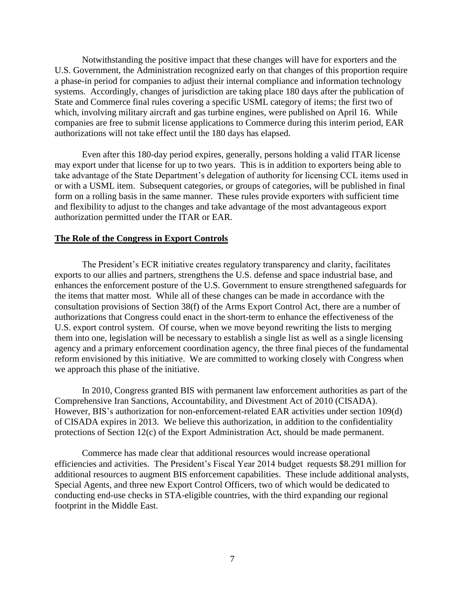Notwithstanding the positive impact that these changes will have for exporters and the U.S. Government, the Administration recognized early on that changes of this proportion require a phase-in period for companies to adjust their internal compliance and information technology systems. Accordingly, changes of jurisdiction are taking place 180 days after the publication of State and Commerce final rules covering a specific USML category of items; the first two of which, involving military aircraft and gas turbine engines, were published on April 16. While companies are free to submit license applications to Commerce during this interim period, EAR authorizations will not take effect until the 180 days has elapsed.

Even after this 180-day period expires, generally, persons holding a valid ITAR license may export under that license for up to two years. This is in addition to exporters being able to take advantage of the State Department's delegation of authority for licensing CCL items used in or with a USML item. Subsequent categories, or groups of categories, will be published in final form on a rolling basis in the same manner. These rules provide exporters with sufficient time and flexibility to adjust to the changes and take advantage of the most advantageous export authorization permitted under the ITAR or EAR.

#### **The Role of the Congress in Export Controls**

The President's ECR initiative creates regulatory transparency and clarity, facilitates exports to our allies and partners, strengthens the U.S. defense and space industrial base, and enhances the enforcement posture of the U.S. Government to ensure strengthened safeguards for the items that matter most. While all of these changes can be made in accordance with the consultation provisions of Section 38(f) of the Arms Export Control Act, there are a number of authorizations that Congress could enact in the short-term to enhance the effectiveness of the U.S. export control system. Of course, when we move beyond rewriting the lists to merging them into one, legislation will be necessary to establish a single list as well as a single licensing agency and a primary enforcement coordination agency, the three final pieces of the fundamental reform envisioned by this initiative. We are committed to working closely with Congress when we approach this phase of the initiative.

In 2010, Congress granted BIS with permanent law enforcement authorities as part of the Comprehensive Iran Sanctions, Accountability, and Divestment Act of 2010 (CISADA). However, BIS's authorization for non-enforcement-related EAR activities under section 109(d) of CISADA expires in 2013. We believe this authorization, in addition to the confidentiality protections of Section 12(c) of the Export Administration Act, should be made permanent.

Commerce has made clear that additional resources would increase operational efficiencies and activities. The President's Fiscal Year 2014 budget requests \$8.291 million for additional resources to augment BIS enforcement capabilities. These include additional analysts, Special Agents, and three new Export Control Officers, two of which would be dedicated to conducting end-use checks in STA-eligible countries, with the third expanding our regional footprint in the Middle East.